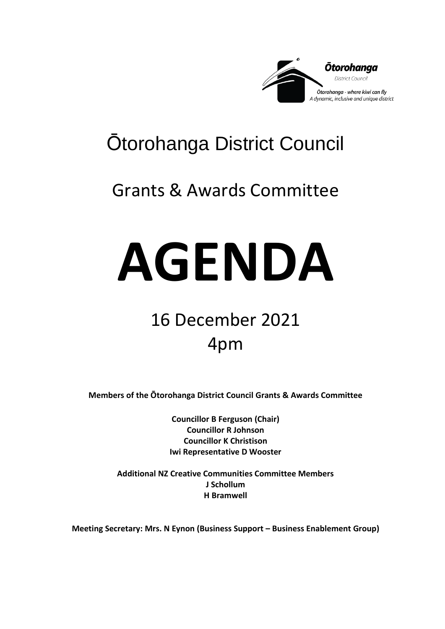

# Ōtorohanga District Council

## Grants & Awards Committee

# **AGENDA**

# 16 December 2021 4pm

**Members of the Ōtorohanga District Council Grants & Awards Committee**

**Councillor B Ferguson (Chair) Councillor R Johnson Councillor K Christison Iwi Representative D Wooster**

**Additional NZ Creative Communities Committee Members J Schollum H Bramwell**

**Meeting Secretary: Mrs. N Eynon (Business Support – Business Enablement Group)**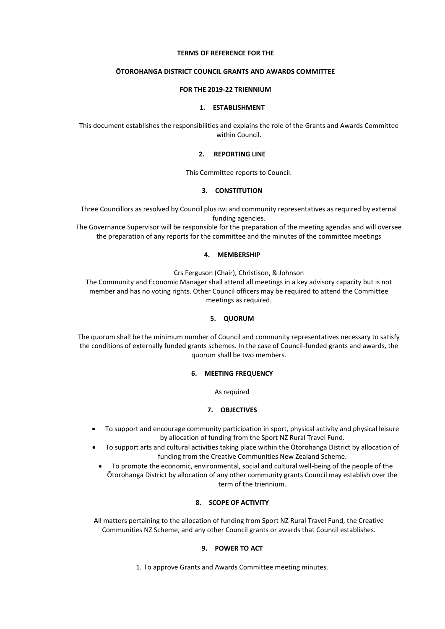#### **TERMS OF REFERENCE FOR THE**

#### **ŌTOROHANGA DISTRICT COUNCIL GRANTS AND AWARDS COMMITTEE**

#### **FOR THE 2019-22 TRIENNIUM**

#### **1. ESTABLISHMENT**

This document establishes the responsibilities and explains the role of the Grants and Awards Committee within Council.

#### **2. REPORTING LINE**

This Committee reports to Council.

#### **3. CONSTITUTION**

Three Councillors as resolved by Council plus iwi and community representatives as required by external funding agencies.

The Governance Supervisor will be responsible for the preparation of the meeting agendas and will oversee the preparation of any reports for the committee and the minutes of the committee meetings

#### **4. MEMBERSHIP**

Crs Ferguson (Chair), Christison, & Johnson

The Community and Economic Manager shall attend all meetings in a key advisory capacity but is not member and has no voting rights. Other Council officers may be required to attend the Committee meetings as required.

#### **5. QUORUM**

The quorum shall be the minimum number of Council and community representatives necessary to satisfy the conditions of externally funded grants schemes. In the case of Council-funded grants and awards, the quorum shall be two members.

#### **6. MEETING FREQUENCY**

As required

#### **7. OBJECTIVES**

- To support and encourage community participation in sport, physical activity and physical leisure by allocation of funding from the Sport NZ Rural Travel Fund.
- To support arts and cultural activities taking place within the Ōtorohanga District by allocation of funding from the Creative Communities New Zealand Scheme.
- To promote the economic, environmental, social and cultural well-being of the people of the Ōtorohanga District by allocation of any other community grants Council may establish over the term of the triennium.

#### **8. SCOPE OF ACTIVITY**

All matters pertaining to the allocation of funding from Sport NZ Rural Travel Fund, the Creative Communities NZ Scheme, and any other Council grants or awards that Council establishes.

#### **9. POWER TO ACT**

1. To approve Grants and Awards Committee meeting minutes.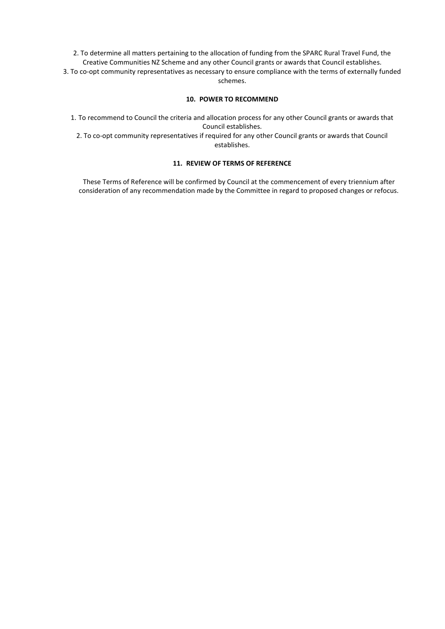2. To determine all matters pertaining to the allocation of funding from the SPARC Rural Travel Fund, the Creative Communities NZ Scheme and any other Council grants or awards that Council establishes.

3. To co-opt community representatives as necessary to ensure compliance with the terms of externally funded schemes.

#### **10. POWER TO RECOMMEND**

1. To recommend to Council the criteria and allocation process for any other Council grants or awards that Council establishes.

2. To co-opt community representatives if required for any other Council grants or awards that Council establishes.

#### **11. REVIEW OF TERMS OF REFERENCE**

These Terms of Reference will be confirmed by Council at the commencement of every triennium after consideration of any recommendation made by the Committee in regard to proposed changes or refocus.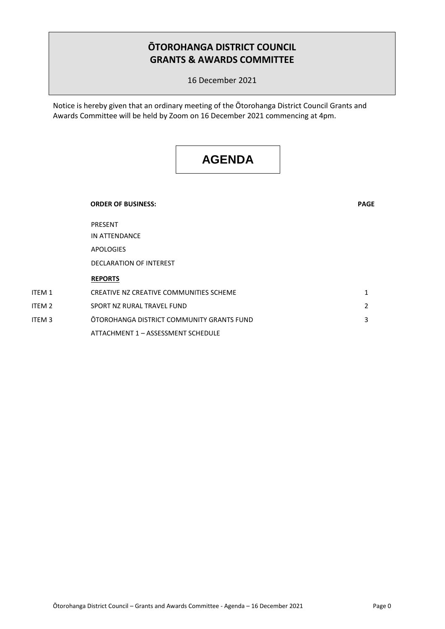## **ŌTOROHANGA DISTRICT COUNCIL GRANTS & AWARDS COMMITTEE**

16 December 2021

Notice is hereby given that an ordinary meeting of the Ōtorohanga District Council Grants and Awards Committee will be held by Zoom on 16 December 2021 commencing at 4pm.

## **AGENDA**

|        | <b>ORDER OF BUSINESS:</b>                 | <b>PAGE</b>  |
|--------|-------------------------------------------|--------------|
|        | PRESENT                                   |              |
|        | IN ATTENDANCE                             |              |
|        | APOLOGIES                                 |              |
|        | <b>DECLARATION OF INTEREST</b>            |              |
|        | <b>REPORTS</b>                            |              |
| ITEM 1 | CREATIVE NZ CREATIVE COMMUNITIES SCHEME   | $\mathbf{1}$ |
| ITEM 2 | SPORT NZ RURAL TRAVEL FUND                | 2            |
| ITEM 3 | OTOROHANGA DISTRICT COMMUNITY GRANTS FUND | 3            |
|        | ATTACHMENT 1 - ASSESSMENT SCHEDULE        |              |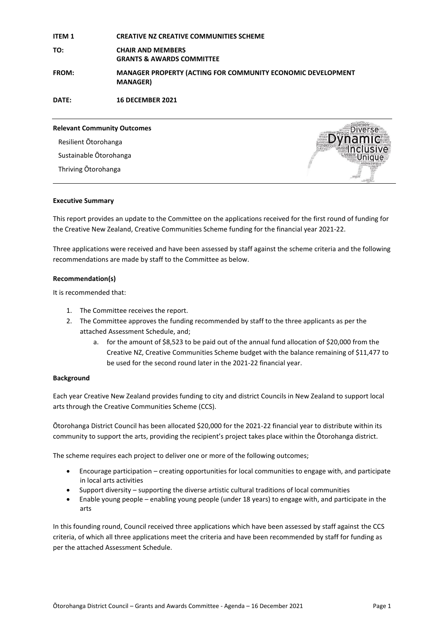| <b>ITEM 1</b> | <b>CREATIVE NZ CREATIVE COMMUNITIES SCHEME</b>                                        |
|---------------|---------------------------------------------------------------------------------------|
| TO:           | <b>CHAIR AND MEMBERS</b><br><b>GRANTS &amp; AWARDS COMMITTEE</b>                      |
| <b>FROM:</b>  | <b>MANAGER PROPERTY (ACTING FOR COMMUNITY ECONOMIC DEVELOPMENT</b><br><b>MANAGER)</b> |
| DATE:         | <b>16 DECEMBER 2021</b>                                                               |

**Relevant Community Outcomes**  Resilient Ōtorohanga Sustainable Ōtorohanga Thriving Ōtorohanga



#### **Executive Summary**

This report provides an update to the Committee on the applications received for the first round of funding for the Creative New Zealand, Creative Communities Scheme funding for the financial year 2021-22.

Three applications were received and have been assessed by staff against the scheme criteria and the following recommendations are made by staff to the Committee as below.

#### **Recommendation(s)**

It is recommended that:

- 1. The Committee receives the report.
- 2. The Committee approves the funding recommended by staff to the three applicants as per the attached Assessment Schedule, and;
	- a. for the amount of \$8,523 to be paid out of the annual fund allocation of \$20,000 from the Creative NZ, Creative Communities Scheme budget with the balance remaining of \$11,477 to be used for the second round later in the 2021-22 financial year.

#### **Background**

Each year Creative New Zealand provides funding to city and district Councils in New Zealand to support local arts through the Creative Communities Scheme (CCS).

Ōtorohanga District Council has been allocated \$20,000 for the 2021-22 financial year to distribute within its community to support the arts, providing the recipient's project takes place within the Ōtorohanga district.

The scheme requires each project to deliver one or more of the following outcomes;

- Encourage participation creating opportunities for local communities to engage with, and participate in local arts activities
- Support diversity supporting the diverse artistic cultural traditions of local communities
- Enable young people enabling young people (under 18 years) to engage with, and participate in the arts

In this founding round, Council received three applications which have been assessed by staff against the CCS criteria, of which all three applications meet the criteria and have been recommended by staff for funding as per the attached Assessment Schedule.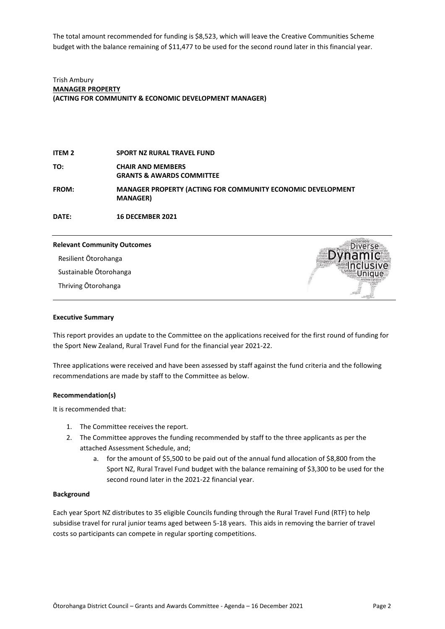The total amount recommended for funding is \$8,523, which will leave the Creative Communities Scheme budget with the balance remaining of \$11,477 to be used for the second round later in this financial year.

Trish Ambury **MANAGER PROPERTY (ACTING FOR COMMUNITY & ECONOMIC DEVELOPMENT MANAGER)**

**ITEM 2 SPORT NZ RURAL TRAVEL FUND TO: CHAIR AND MEMBERS GRANTS & AWARDS COMMITTEE FROM: MANAGER PROPERTY (ACTING FOR COMMUNITY ECONOMIC DEVELOPMENT MANAGER)**

**DATE: 16 DECEMBER 2021**

#### **Relevant Community Outcomes**

Resilient Ōtorohanga

Sustainable Ōtorohanga

Thriving Ōtorohanga



#### **Executive Summary**

This report provides an update to the Committee on the applications received for the first round of funding for the Sport New Zealand, Rural Travel Fund for the financial year 2021-22.

Three applications were received and have been assessed by staff against the fund criteria and the following recommendations are made by staff to the Committee as below.

#### **Recommendation(s)**

It is recommended that:

- 1. The Committee receives the report.
- 2. The Committee approves the funding recommended by staff to the three applicants as per the attached Assessment Schedule, and;
	- a. for the amount of \$5,500 to be paid out of the annual fund allocation of \$8,800 from the Sport NZ, Rural Travel Fund budget with the balance remaining of \$3,300 to be used for the second round later in the 2021-22 financial year.

#### **Background**

Each year Sport NZ distributes to 35 eligible Councils funding through the Rural Travel Fund (RTF) to help subsidise travel for rural junior teams aged between 5-18 years. This aids in removing the barrier of travel costs so participants can compete in regular sporting competitions.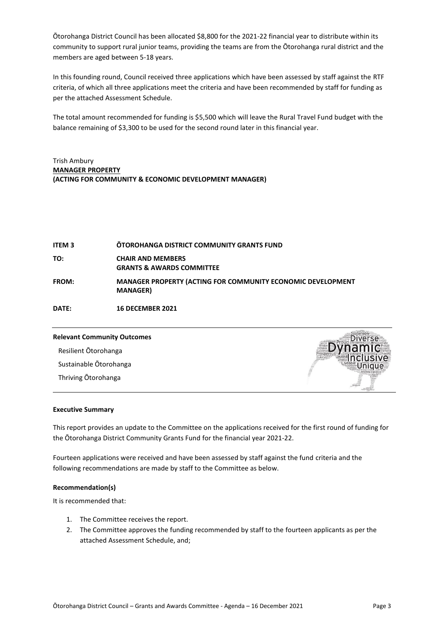Ōtorohanga District Council has been allocated \$8,800 for the 2021-22 financial year to distribute within its community to support rural junior teams, providing the teams are from the Ōtorohanga rural district and the members are aged between 5-18 years.

In this founding round, Council received three applications which have been assessed by staff against the RTF criteria, of which all three applications meet the criteria and have been recommended by staff for funding as per the attached Assessment Schedule.

The total amount recommended for funding is \$5,500 which will leave the Rural Travel Fund budget with the balance remaining of \$3,300 to be used for the second round later in this financial year.

#### Trish Ambury **MANAGER PROPERTY (ACTING FOR COMMUNITY & ECONOMIC DEVELOPMENT MANAGER)**

| <b>ITEM 3</b> | <b>OTOROHANGA DISTRICT COMMUNITY GRANTS FUND</b>                                       |
|---------------|----------------------------------------------------------------------------------------|
| TO:           | <b>CHAIR AND MEMBERS</b><br><b>GRANTS &amp; AWARDS COMMITTEE</b>                       |
| <b>FROM:</b>  | <b>MANAGER PROPERTY (ACTING FOR COMMUNITY ECONOMIC DEVELOPMENT</b><br><b>MANAGER</b> ) |

**DATE: 16 DECEMBER 2021**

### **Relevant Community Outcomes**  Resilient Ōtorohanga Sustainable Ōtorohanga

Thriving Ōtorohanga

#### **Executive Summary**

This report provides an update to the Committee on the applications received for the first round of funding for the Ōtorohanga District Community Grants Fund for the financial year 2021-22.

Fourteen applications were received and have been assessed by staff against the fund criteria and the following recommendations are made by staff to the Committee as below.

#### **Recommendation(s)**

It is recommended that:

- 1. The Committee receives the report.
- 2. The Committee approves the funding recommended by staff to the fourteen applicants as per the attached Assessment Schedule, and;

**IPTSP**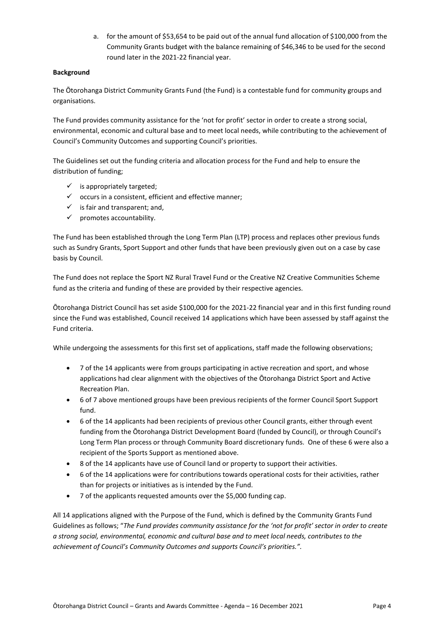a. for the amount of \$53,654 to be paid out of the annual fund allocation of \$100,000 from the Community Grants budget with the balance remaining of \$46,346 to be used for the second round later in the 2021-22 financial year.

#### **Background**

The Ōtorohanga District Community Grants Fund (the Fund) is a contestable fund for community groups and organisations.

The Fund provides community assistance for the 'not for profit' sector in order to create a strong social, environmental, economic and cultural base and to meet local needs, while contributing to the achievement of Council's Community Outcomes and supporting Council's priorities.

The Guidelines set out the funding criteria and allocation process for the Fund and help to ensure the distribution of funding;

- $\checkmark$  is appropriately targeted;
- $\checkmark$  occurs in a consistent, efficient and effective manner;
- $\checkmark$  is fair and transparent; and,
- $\checkmark$  promotes accountability.

The Fund has been established through the Long Term Plan (LTP) process and replaces other previous funds such as Sundry Grants, Sport Support and other funds that have been previously given out on a case by case basis by Council.

The Fund does not replace the Sport NZ Rural Travel Fund or the Creative NZ Creative Communities Scheme fund as the criteria and funding of these are provided by their respective agencies.

Ōtorohanga District Council has set aside \$100,000 for the 2021-22 financial year and in this first funding round since the Fund was established, Council received 14 applications which have been assessed by staff against the Fund criteria.

While undergoing the assessments for this first set of applications, staff made the following observations;

- 7 of the 14 applicants were from groups participating in active recreation and sport, and whose applications had clear alignment with the objectives of the Ōtorohanga District Sport and Active Recreation Plan.
- 6 of 7 above mentioned groups have been previous recipients of the former Council Sport Support fund.
- 6 of the 14 applicants had been recipients of previous other Council grants, either through event funding from the Ōtorohanga District Development Board (funded by Council), or through Council's Long Term Plan process or through Community Board discretionary funds. One of these 6 were also a recipient of the Sports Support as mentioned above.
- 8 of the 14 applicants have use of Council land or property to support their activities.
- 6 of the 14 applications were for contributions towards operational costs for their activities, rather than for projects or initiatives as is intended by the Fund.
- 7 of the applicants requested amounts over the \$5,000 funding cap.

All 14 applications aligned with the Purpose of the Fund, which is defined by the Community Grants Fund Guidelines as follows; "*The Fund provides community assistance for the 'not for profit' sector in order to create a strong social, environmental, economic and cultural base and to meet local needs, contributes to the achievement of Council's Community Outcomes and supports Council's priorities.".*